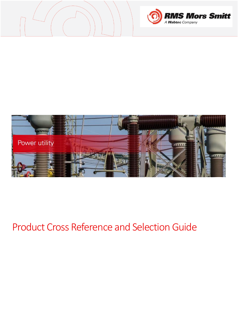



# Product Cross Reference and Selection Guide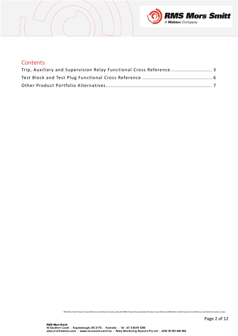

#### **Contents**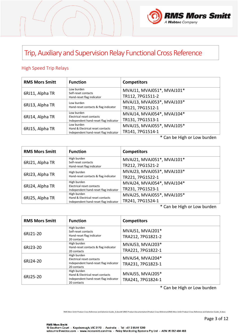## <span id="page-2-0"></span>Trip, Auxiliary and Supervision Relay Functional Cross Reference

#### High Speed Trip Relays

| <b>RMS Mors Smitt</b> | <b>Function</b>                                                                         | <b>Competitors</b>                             |
|-----------------------|-----------------------------------------------------------------------------------------|------------------------------------------------|
| 6RJ11, Alpha TR       | Low burden<br>Self-reset contacts<br>Hand-reset flag indicator                          | MVAJ11, MVAJ051*, MVAJ101*<br>TR112, 7PG1511-2 |
| 6RJ13, Alpha TR       | Low burden<br>Hand-reset contacts & flag indicator                                      | MVAJ13, MVAJ053*, MVAJ103*<br>TR121, 7PG1512-1 |
| 6RJ14, Alpha TR       | Low burden<br>Electrical reset contacts<br>Independent hand-reset flag indicator        | MVAJ14, MVAJ054*, MVAJ104*<br>TR131, 7PG1513-1 |
| 6RJ15, Alpha TR       | Low burden<br>Hand & Electrical reset contacts<br>Independent hand-reset flag indicator | MVAJ15, MVAJ055*, MVAJ105*<br>TR141, 7PG1514-1 |

\* Can be High or Low burden

**RMS Mors Smitt** 

A Wabtec Company

| <b>RMS Mors Smitt</b> | <b>Function</b>                                                                          | <b>Competitors</b>                             |
|-----------------------|------------------------------------------------------------------------------------------|------------------------------------------------|
| 6RJ21, Alpha TR       | High burden<br>Self-reset contacts<br>Hand-reset flag indicator                          | MVAJ21, MVAJ051*, MVAJ101*<br>TR212, 7PG1521-2 |
| 6RJ23, Alpha TR       | High burden<br>Hand-reset contacts & flag indicator                                      | MVAJ23, MVAJ053*, MVAJ103*<br>TR221, 7PG1522-1 |
| 6RJ24, Alpha TR       | High burden<br>Electrical reset contacts<br>Independent hand-reset flag indicator        | MVAJ24, MVAJ054*, MVAJ104*<br>TR231, 7PG1523-1 |
| 6RJ25, Alpha TR       | High burden<br>Hand & Electrical reset contacts<br>Independent hand-reset flag indicator | MVAJ25, MVAJ055*, MVAJ105*<br>TR241, 7PG1524-1 |

\* Can be High or Low burden

| <b>RMS Mors Smitt</b> | <b>Function</b>                                                                                         | <b>Competitors</b>                    |
|-----------------------|---------------------------------------------------------------------------------------------------------|---------------------------------------|
| 6RJ21-20              | High burden<br>Self-reset contacts<br>Hand-reset flag indicator<br>20 contacts                          | MVAJ51, MVAJ201*<br>TRA212, 7PG1821-2 |
| 6RJ23-20              | High burden<br>Hand-reset contacts & flag indicator<br>20 contacts                                      | MVAJ53, MVAJ203*<br>TRA221, 7PG1822-1 |
| 6RI24-20              | High burden<br>Electrical reset contacts<br>Independent hand-reset flag indicator<br>20 contacts        | MVAJ54, MVAJ204*<br>TRA231, 7PG1823-1 |
| 6RI25-20              | High burden<br>Hand & Electrical reset contacts<br>Independent hand-reset flag indicator<br>20 contacts | MVAJ55, MVAJ205*<br>TRA241, 7PG1824-1 |

\* Can be High or Low burden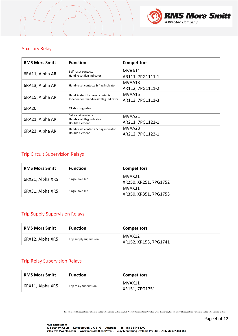

#### Auxiliary Relays

| <b>RMS Mors Smitt</b> | <b>Function</b>                             | <b>Competitors</b> |
|-----------------------|---------------------------------------------|--------------------|
| 6RA11, Alpha AR       | Self-reset contacts                         | MVAA11             |
|                       | Hand-reset flag indicator                   | AR111, 7PG1111-1   |
| 6RA13, Alpha AR       | Hand-reset contacts & flag indicator        | MVAA13             |
|                       |                                             | AR112, 7PG1111-2   |
| 6RA15, Alpha AR       | Hand & electrical reset contacts            | MVAA15             |
|                       | Independent hand-reset flag indicator       | AR113, 7PG1111-3   |
| 6RA20                 | CT shorting relay                           |                    |
|                       | Self-reset contacts                         | MVAA21             |
| 6RA21, Alpha AR       | Hand-reset flag indicator<br>Double element | AR211, 7PG1121-1   |
| 6RA23, Alpha AR       | Hand-reset contacts & flag indicator        | MVAA23             |
|                       | Double element                              | AR212, 7PG1122-1   |

#### Trip Circuit Supervision Relays

| <b>RMS Mors Smitt</b> | <b>Function</b> | <b>Competitors</b>              |
|-----------------------|-----------------|---------------------------------|
| 6RX21, Alpha XR5      | Single pole TCS | MVAX21<br>XR250, XR251, 7PG1752 |
| 6RX31, Alpha XR5      | Single pole TCS | MVAX31<br>XR350, XR351, 7PG1753 |

#### Trip Supply Supervision Relays

| <b>RMS Mors Smitt</b> | <b>Function</b>         | <b>Competitors</b>              |
|-----------------------|-------------------------|---------------------------------|
| 6RX12, Alpha XR5      | Trip supply supervision | MVAX12<br>XR152, XR153, 7PG1741 |

#### Trip Relay Supervision Relays

| <b>RMS Mors Smitt</b> | <b>Function</b>        | <b>Competitors</b> |
|-----------------------|------------------------|--------------------|
| 6RX11, Alpha XR5      | Trip relay supervision | MVAX11             |
|                       |                        | XR151, 7PG1751     |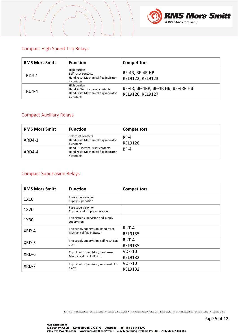

### Compact High Speed Trip Relays

| <b>RMS Mors Smitt</b> | <b>Function</b>                                                                                       | <b>Competitors</b>                                     |
|-----------------------|-------------------------------------------------------------------------------------------------------|--------------------------------------------------------|
| <b>TRD4-1</b>         | High burden<br>Self-reset contacts<br>Hand-reset Mechanical flag indicator<br>4 contacts              | RF-4R, RF-4R HB<br>REL9122, REL9123                    |
| <b>TRD4-4</b>         | High burden<br>Hand & Electrical reset contacts<br>Hand-reset Mechanical flag indicator<br>4 contacts | BF-4R, BF-4RP, BF-4R HB, BF-4RP HB<br>REL9126, REL9127 |

#### Compact Auxiliary Relays

| <b>RMS Mors Smitt</b> | <b>Function</b>                                                                        | <b>Competitors</b>       |
|-----------------------|----------------------------------------------------------------------------------------|--------------------------|
| ARD4-1                | Self-reset contacts<br>Hand-reset Mechanical flag indicator<br>4 contacts              | $RF-4$<br><b>REL9120</b> |
| ARD4-4                | Hand & Electrical reset contacts<br>Hand-reset Mechanical flag indicator<br>4 contacts | $RF-4$                   |

#### Compact Supervision Relays

| <b>RMS Mors Smitt</b> | <b>Function</b>                                                   | <b>Competitors</b> |
|-----------------------|-------------------------------------------------------------------|--------------------|
| 1X10                  | Fuse supervision or<br>Supply supervision                         |                    |
| 1X20                  | Fuse supervision or<br>Trip coil and supply supervision           |                    |
| 1X30                  | Trip circuit supervision and supply<br>supervision                |                    |
| XRD-4                 | Trip supply supervision, hand reset<br>Mechanical flag indicator  | RUT-4              |
|                       |                                                                   | <b>REL9135</b>     |
| XRD-5                 | Trip supply supervision, self-reset LED<br>alarm                  | RUT-4              |
|                       |                                                                   | <b>REL9135</b>     |
| XRD-6                 | Trip circuit supervision, hand reset<br>Mechanical flag indicator | $VDF-10$           |
|                       |                                                                   | REL9132            |
|                       | Trip circuit supervision, self-reset LED<br>alarm                 | $VDF-10$           |
| XRD-7                 |                                                                   | <b>REL9132</b>     |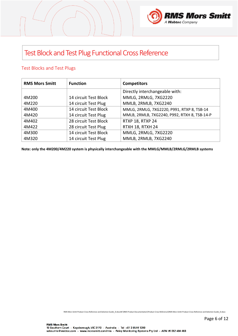

### <span id="page-5-0"></span>Test Block and Test Plug Functional Cross Reference

#### Test Blocks and Test Plugs

| <b>RMS Mors Smitt</b> | <b>Function</b>       | <b>Competitors</b>                           |
|-----------------------|-----------------------|----------------------------------------------|
|                       |                       | Directly interchangeable with:               |
| 4M200                 | 14 circuit Test Block | MMLG, 2RMLG, 7XG2220                         |
| 4M220                 | 14 circuit Test Plug  | MMLB, 2RMLB, 7XG2240                         |
| 4M400                 | 14 circuit Test Block | MMLG, 2RMLG, 7XG2220, P991, RTXP 8, TSB-14   |
| 4M420                 | 14 circuit Test Plug  | MMLB, 2RMLB, 7XG2240, P992, RTXH 8, TSB-14-P |
| 4M402                 | 28 circuit Test Block | <b>RTXP 18, RTXP 24</b>                      |
| 4M422                 | 28 circuit Test Plug  | RTXH 18, RTXH 24                             |
| 4M300                 | 14 circuit Test Block | MMLG, 2RMLG, 7XG2220                         |
| 4M320                 | 14 circuit Test Plug  | MMLB, 2RMLB, 7XG2240                         |

**Note: only the 4M200/4M220 system is physically interchangeable with the MMLG/MMLB/2RMLG/2RMLB systems**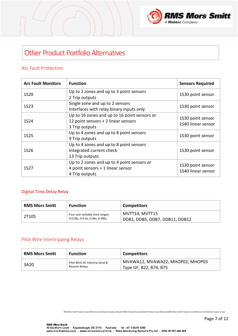

### <span id="page-6-0"></span>Other Product Portfolio Alternatives

#### Arc Fault Protection

| <b>Arc Fault Monitors</b> | <b>Function</b>                                                                                       | <b>Sensors Required</b>                 |
|---------------------------|-------------------------------------------------------------------------------------------------------|-----------------------------------------|
| 1S <sub>20</sub>          | Up to 2 zones and up to 3 point sensors<br>2 Trip outputs                                             | 1S30 point sensor                       |
| 1S23                      | Single zone and up to 2 sensors<br>Interfaces with relay binary inputs only                           | 1S30 point sensor                       |
| 1S24                      | Up to 16 zones and up to 16 point sensors or<br>12 point sensors + 2 linear sensors<br>3 Trip outputs | 1S30 point sensor<br>1S40 linear sensor |
| <b>1S25</b>               | Up to 4 zones and up to 8 point sensors<br>9 Trip outputs                                             | 1S30 point sensor                       |
| <b>1S26</b>               | Up to 4 zones and up to 8 point sensors<br>Integrated current check<br>13 Trip outputs                | 1S30 point sensor                       |
| 1S27                      | Up to 2 zones and up to 4 point sensors or<br>4 point sensors + 1 linear sensor<br>4 Trip outputs     | 1S30 point sensor<br>1S40 linear sensor |

#### Digital Time Delay Relay

| <b>RMS Mors Smitt</b> | <b>Function</b>                                                   | <b>Competitors</b>                               |
|-----------------------|-------------------------------------------------------------------|--------------------------------------------------|
| 2T105                 | Four user settable time ranges:<br>0-0.99s, 0-9.9s, 0-99s, 0-990s | MVTT14, MVTT15<br>DDB1, DDB5, DDB7, DDB11, DDB12 |

#### Pilot Wire Intertripping Relays

| <b>RMS Mors Smitt</b> | <b>Function</b>                                  | <b>Competitors</b>                                         |
|-----------------------|--------------------------------------------------|------------------------------------------------------------|
| 3A20                  | Pilot Wire DC Intertrip Send &<br>Receive Relays | MVAWA12, MVAWA22, MHOP02, MHOP03<br>Type GF, B22, B74, B75 |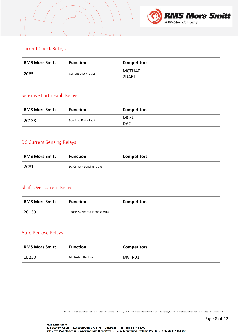

#### Current Check Relays

| <b>RMS Mors Smitt</b> | <b>Function</b>      | <b>Competitors</b> |
|-----------------------|----------------------|--------------------|
| 2C65                  | Current check relays | MCTI140            |
|                       |                      | 2DABT              |

#### Sensitive Earth Fault Relays

| <b>RMS Mors Smitt</b> | <b>Function</b>       | <b>Competitors</b>        |
|-----------------------|-----------------------|---------------------------|
| 2C138                 | Sensitive Earth Fault | <b>MCSU</b><br><b>DAC</b> |

#### DC Current Sensing Relays

| <b>RMS Mors Smitt</b> | <b>Function</b>           | <b>Competitors</b> |
|-----------------------|---------------------------|--------------------|
| 2C81                  | DC Current Sensing relays |                    |

#### Shaft Overcurrent Relays

| <b>RMS Mors Smitt</b> | <b>Function</b>                | <b>Competitors</b> |
|-----------------------|--------------------------------|--------------------|
| 2C139                 | 150Hz AC shaft current sensing |                    |

#### Auto Reclose Relays

| <b>RMS Mors Smitt</b> | <b>Function</b>    | <b>Competitors</b> |
|-----------------------|--------------------|--------------------|
| 1B230                 | Multi-shot Reclose | MVTR01             |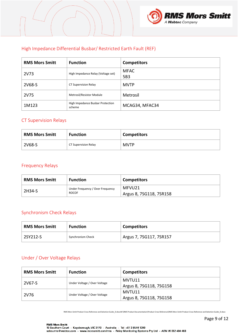

#### High Impedance Differential Busbar/ Restricted Earth Fault (REF)

| <b>RMS Mors Smitt</b> | <b>Function</b>                            | <b>Competitors</b> |
|-----------------------|--------------------------------------------|--------------------|
| 2V73                  | High Impedance Relay (Voltage set)         | MFAC<br>5B3        |
| 2V68-S                | CT Supervision Relay                       | <b>MVTP</b>        |
| 2V75                  | Metrosil/Resistor Module                   | Metrosil           |
| 1M123                 | High Impedance Busbar Protection<br>scheme | MCAG34, MFAC34     |

#### CT Supervision Relays

| <b>RMS Mors Smitt</b> | <b>Function</b>      | <b>Competitors</b> |
|-----------------------|----------------------|--------------------|
| 2V68-S                | CT Supervision Relay | <b>MVTP</b>        |

#### Frequency Relays

| <b>RMS Mors Smitt</b> | <b>Function</b>                                  | <b>Competitors</b>                |
|-----------------------|--------------------------------------------------|-----------------------------------|
| 2H34-S                | Under Frequency / Over Frequency<br><b>ROCOF</b> | MFVU21<br>Argus 8, 7SG118, 7SR158 |

#### Synchronism Check Relays

| <b>RMS Mors Smitt</b> | <b>Function</b>   | <b>Competitors</b>      |
|-----------------------|-------------------|-------------------------|
| 2SY212-S              | Synchronism Check | Argus 7, 7SG117, 7SR157 |

#### Under / Over Voltage Relays

| <b>RMS Mors Smitt</b> | <b>Function</b>              | <b>Competitors</b>      |
|-----------------------|------------------------------|-------------------------|
| 2V67-S                | Under Voltage / Over Voltage | MVTU11                  |
|                       |                              | Argus 8, 7SG118, 7SG158 |
| 2V76                  | Under Voltage / Over Voltage | MVTU11                  |
|                       |                              | Argus 8, 7SG118, 7SG158 |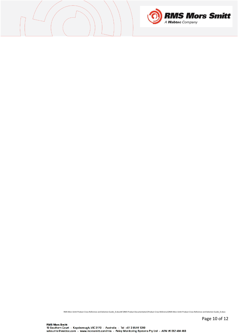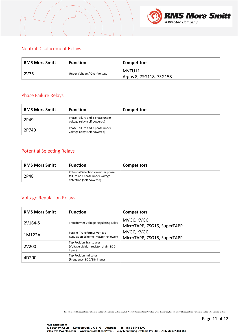

#### Neutral Displacement Relays

| <b>RMS Mors Smitt</b> | <b>Function</b>              | <b>Competitors</b>                |
|-----------------------|------------------------------|-----------------------------------|
| 2V76                  | Under Voltage / Over Voltage | MVTU11<br>Argus 8, 7SG118, 7SG158 |

#### Phase Failure Relays

| <b>RMS Mors Smitt</b> | <b>Function</b>                                                 | <b>Competitors</b> |
|-----------------------|-----------------------------------------------------------------|--------------------|
| 2P49                  | Phase Failure and 3 phase under<br>voltage relay (self powered) |                    |
| 2P740                 | Phase Failure and 3 phase under<br>voltage relay (self powered) |                    |

#### Potential Selecting Relays

| <b>RMS Mors Smitt</b> | <b>Function</b>                                                                                      | <b>Competitors</b> |
|-----------------------|------------------------------------------------------------------------------------------------------|--------------------|
| 2P48                  | Potential Selection via either phase<br>failure or 3 phase under voltage<br>detection (Self powered) |                    |

#### Voltage Regulation Relays

| <b>RMS Mors Smitt</b> | <b>Function</b>                                                                   | <b>Competitors</b>                        |
|-----------------------|-----------------------------------------------------------------------------------|-------------------------------------------|
| 2V164-S               | Transformer Voltage Regulating Relay                                              | MVGC, KVGC<br>MicroTAPP, 7SG15, SuperTAPP |
| 1M122A                | Parallel Transformer Voltage<br>Regulation Scheme (Master Follower)               | MVGC, KVGC<br>MicroTAPP, 7SG15, SuperTAPP |
| 2V200                 | <b>Tap Position Transducer</b><br>(Voltage divider, resistor chain, BCD<br>input) |                                           |
| 4D200                 | <b>Tap Position Indicator</b><br>(Frequency, BCD/BIN input)                       |                                           |